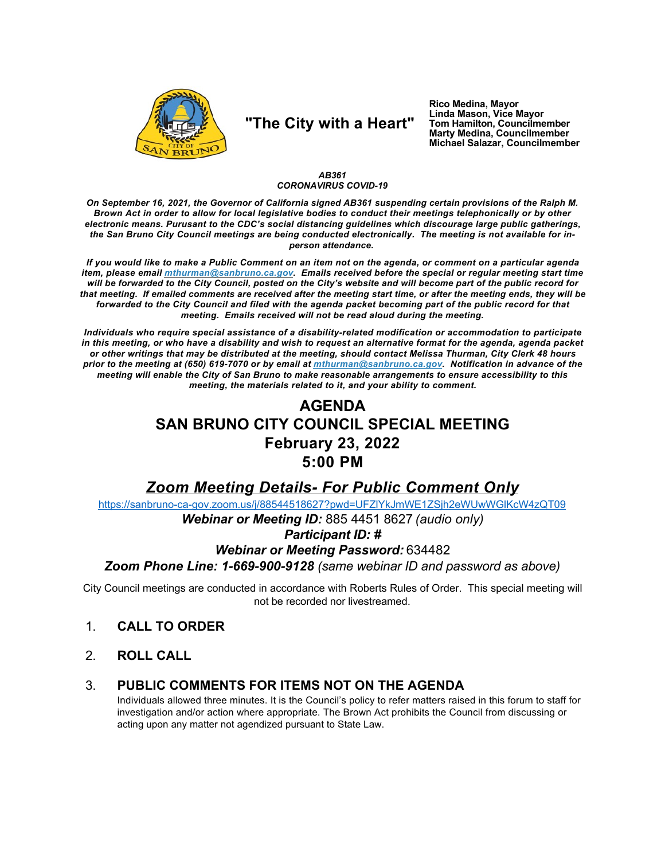

# "The City with a Heart"

Rico Medina, Mayor Linda Mason, Vice Mayor Tom Hamilton, Councilmember<br>Marty Medina, Councilmember Michael Salazar, Councilmember

#### AB361 **CORONAVIRUS COVID-19**

On September 16, 2021, the Governor of California signed AB361 suspending certain provisions of the Ralph M. Brown Act in order to allow for local legislative bodies to conduct their meetings telephonically or by other electronic means. Purusant to the CDC's social distancing guidelines which discourage large public gatherings, the San Bruno City Council meetings are being conducted electronically. The meeting is not available for inperson attendance.

If you would like to make a Public Comment on an item not on the agenda, or comment on a particular agenda item, please email *mthurman@sanbruno.ca.gov.* Emails received before the special or regular meeting start time will be forwarded to the City Council, posted on the City's website and will become part of the public record for that meeting. If emailed comments are received after the meeting start time, or after the meeting ends, they will be forwarded to the City Council and filed with the agenda packet becoming part of the public record for that meeting. Emails received will not be read aloud during the meeting.

Individuals who require special assistance of a disability-related modification or accommodation to participate in this meeting, or who have a disability and wish to request an alternative format for the agenda, agenda packet or other writings that may be distributed at the meeting, should contact Melissa Thurman, City Clerk 48 hours prior to the meeting at (650) 619-7070 or by email at mthurman@sanbruno.ca.gov. Notification in advance of the meeting will enable the City of San Bruno to make reasonable arrangements to ensure accessibility to this meeting, the materials related to it, and your ability to comment.

## **AGENDA SAN BRUNO CITY COUNCIL SPECIAL MEETING February 23, 2022**  $5:00$  PM

## **Zoom Meeting Details- For Public Comment Only**

https://sanbruno-ca-gov.zoom.us/j/88544518627?pwd=UFZIYkJmWE1ZSjh2eWUwWGIKcW4zQT09

Webinar or Meeting ID: 885 4451 8627 (audio only)

### **Participant ID: #**

### **Webinar or Meeting Password: 634482**

Zoom Phone Line: 1-669-900-9128 (same webinar ID and password as above)

City Council meetings are conducted in accordance with Roberts Rules of Order. This special meeting will not be recorded nor livestreamed.

- $1<sub>1</sub>$ **CALL TO ORDER**
- $2<sub>1</sub>$ **ROLL CALL**

#### PUBLIC COMMENTS FOR ITEMS NOT ON THE AGENDA 3.

Individuals allowed three minutes. It is the Council's policy to refer matters raised in this forum to staff for investigation and/or action where appropriate. The Brown Act prohibits the Council from discussing or acting upon any matter not agendized pursuant to State Law.